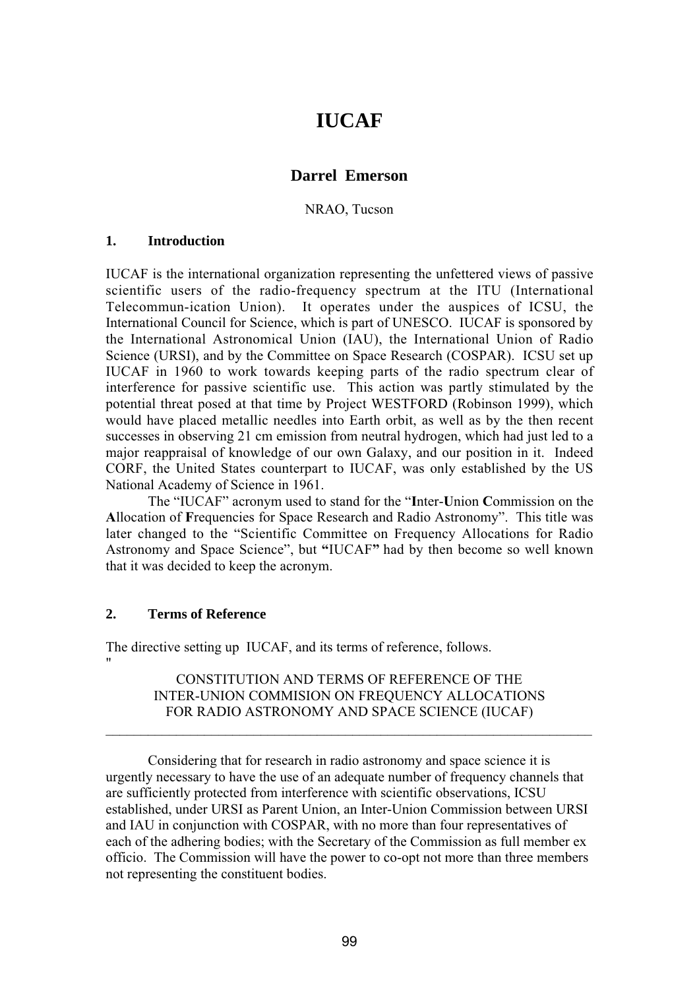# **IUCAF**

# **Darrel Emerson**

NRAO, Tucson

### **1. Introduction**

IUCAF is the international organization representing the unfettered views of passive scientific users of the radio-frequency spectrum at the ITU (International Telecommun-ication Union). It operates under the auspices of ICSU, the International Council for Science, which is part of UNESCO. IUCAF is sponsored by the International Astronomical Union (IAU), the International Union of Radio Science (URSI), and by the Committee on Space Research (COSPAR). ICSU set up IUCAF in 1960 to work towards keeping parts of the radio spectrum clear of interference for passive scientific use. This action was partly stimulated by the potential threat posed at that time by Project WESTFORD (Robinson 1999), which would have placed metallic needles into Earth orbit, as well as by the then recent successes in observing 21 cm emission from neutral hydrogen, which had just led to a major reappraisal of knowledge of our own Galaxy, and our position in it. Indeed CORF, the United States counterpart to IUCAF, was only established by the US National Academy of Science in 1961.

The "IUCAF" acronym used to stand for the "**I**nter-**U**nion **C**ommission on the **A**llocation of **F**requencies for Space Research and Radio Astronomy". This title was later changed to the "Scientific Committee on Frequency Allocations for Radio Astronomy and Space Science", but **"**IUCAF**"** had by then become so well known that it was decided to keep the acronym.

## **2. Terms of Reference**

"

The directive setting up IUCAF, and its terms of reference, follows.

CONSTITUTION AND TERMS OF REFERENCE OF THE INTER-UNION COMMISION ON FREQUENCY ALLOCATIONS FOR RADIO ASTRONOMY AND SPACE SCIENCE (IUCAF)

\_\_\_\_\_\_\_\_\_\_\_\_\_\_\_\_\_\_\_\_\_\_\_\_\_\_\_\_\_\_\_\_\_\_\_\_\_\_\_\_\_\_\_\_\_\_\_\_\_\_\_\_\_\_\_\_\_\_\_\_\_\_\_\_\_\_\_\_\_

Considering that for research in radio astronomy and space science it is urgently necessary to have the use of an adequate number of frequency channels that are sufficiently protected from interference with scientific observations, ICSU established, under URSI as Parent Union, an Inter-Union Commission between URSI and IAU in conjunction with COSPAR, with no more than four representatives of each of the adhering bodies; with the Secretary of the Commission as full member ex officio. The Commission will have the power to co-opt not more than three members not representing the constituent bodies.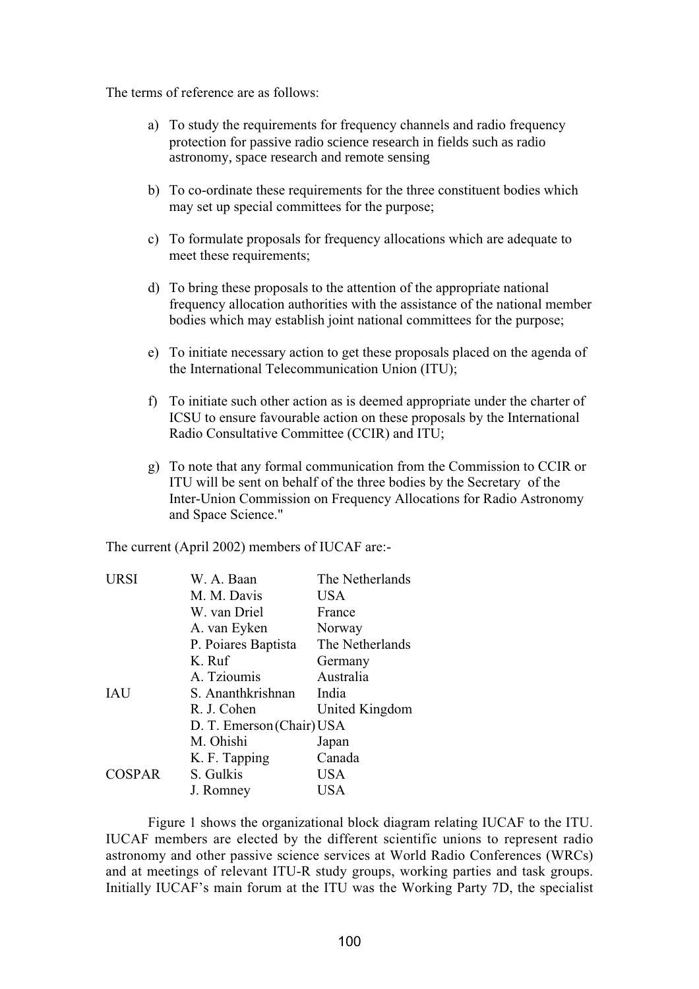The terms of reference are as follows:

- a) To study the requirements for frequency channels and radio frequency protection for passive radio science research in fields such as radio astronomy, space research and remote sensing
- b) To co-ordinate these requirements for the three constituent bodies which may set up special committees for the purpose;
- c) To formulate proposals for frequency allocations which are adequate to meet these requirements;
- d) To bring these proposals to the attention of the appropriate national frequency allocation authorities with the assistance of the national member bodies which may establish joint national committees for the purpose;
- e) To initiate necessary action to get these proposals placed on the agenda of the International Telecommunication Union (ITU);
- f) To initiate such other action as is deemed appropriate under the charter of ICSU to ensure favourable action on these proposals by the International Radio Consultative Committee (CCIR) and ITU;
- g) To note that any formal communication from the Commission to CCIR or ITU will be sent on behalf of the three bodies by the Secretary of the Inter-Union Commission on Frequency Allocations for Radio Astronomy and Space Science."

The current (April 2002) members of IUCAF are:-

| URSI          | W. A. Baan                | The Netherlands |
|---------------|---------------------------|-----------------|
|               | M. M. Davis               | USA             |
|               | W. van Driel              | France          |
|               | A. van Eyken              | Norway          |
|               | P. Poiares Baptista       | The Netherlands |
|               | K. Ruf                    | Germany         |
|               | A. Tzioumis               | Australia       |
| IAU           | S. Ananthkrishnan         | India           |
|               | R. J. Cohen               | United Kingdom  |
|               | D. T. Emerson (Chair) USA |                 |
|               | M. Ohishi                 | Japan           |
|               | K. F. Tapping             | Canada          |
| <b>COSPAR</b> | S. Gulkis                 | <b>USA</b>      |
|               | J. Romney                 | USA             |

Figure 1 shows the organizational block diagram relating IUCAF to the ITU. IUCAF members are elected by the different scientific unions to represent radio astronomy and other passive science services at World Radio Conferences (WRCs) and at meetings of relevant ITU-R study groups, working parties and task groups. Initially IUCAF's main forum at the ITU was the Working Party 7D, the specialist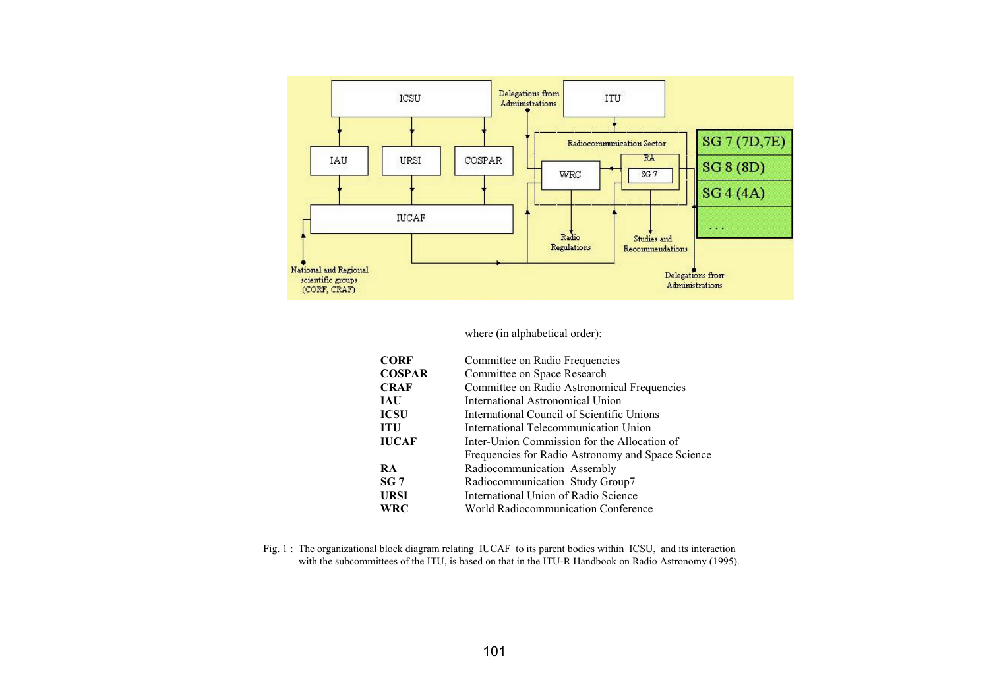

#### where (in alphabetical order):

| <b>CORF</b>   | Committee on Radio Frequencies                    |  |
|---------------|---------------------------------------------------|--|
| <b>COSPAR</b> | Committee on Space Research                       |  |
| <b>CRAF</b>   | Committee on Radio Astronomical Frequencies       |  |
| <b>JAU</b>    | International Astronomical Union                  |  |
| <b>ICSU</b>   | International Council of Scientific Unions        |  |
| <b>ITU</b>    | International Telecommunication Union             |  |
| <b>IUCAF</b>  | Inter-Union Commission for the Allocation of      |  |
|               | Frequencies for Radio Astronomy and Space Science |  |
| <b>RA</b>     | Radiocommunication Assembly                       |  |
| SG 7          | Radiocommunication Study Group7                   |  |
| <b>URSI</b>   | International Union of Radio Science              |  |
| <b>WRC</b>    | World Radiocommunication Conference               |  |

Fig. 1 : The organizational block diagram relating IUCAF to its parent bodies within ICSU, and its interaction with the subcommittees of the ITU, is based on that in the ITU-R Handbook on Radio Astronomy (1995).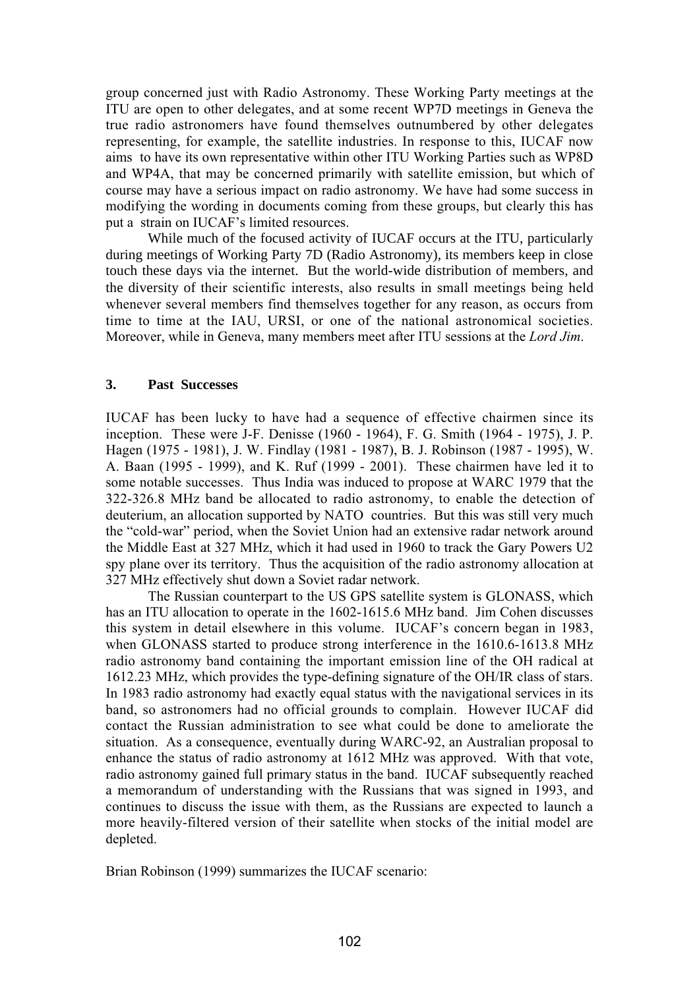group concerned just with Radio Astronomy. These Working Party meetings at the ITU are open to other delegates, and at some recent WP7D meetings in Geneva the true radio astronomers have found themselves outnumbered by other delegates representing, for example, the satellite industries. In response to this, IUCAF now aims to have its own representative within other ITU Working Parties such as WP8D and WP4A, that may be concerned primarily with satellite emission, but which of course may have a serious impact on radio astronomy. We have had some success in modifying the wording in documents coming from these groups, but clearly this has put a strain on IUCAF's limited resources.

While much of the focused activity of IUCAF occurs at the ITU, particularly during meetings of Working Party 7D (Radio Astronomy), its members keep in close touch these days via the internet. But the world-wide distribution of members, and the diversity of their scientific interests, also results in small meetings being held whenever several members find themselves together for any reason, as occurs from time to time at the IAU, URSI, or one of the national astronomical societies. Moreover, while in Geneva, many members meet after ITU sessions at the *Lord Jim*.

#### **3. Past Successes**

IUCAF has been lucky to have had a sequence of effective chairmen since its inception. These were J-F. Denisse (1960 - 1964), F. G. Smith (1964 - 1975), J. P. Hagen (1975 - 1981), J. W. Findlay (1981 - 1987), B. J. Robinson (1987 - 1995), W. A. Baan (1995 - 1999), and K. Ruf (1999 - 2001). These chairmen have led it to some notable successes. Thus India was induced to propose at WARC 1979 that the 322-326.8 MHz band be allocated to radio astronomy, to enable the detection of deuterium, an allocation supported by NATO countries. But this was still very much the "cold-war" period, when the Soviet Union had an extensive radar network around the Middle East at 327 MHz, which it had used in 1960 to track the Gary Powers U2 spy plane over its territory. Thus the acquisition of the radio astronomy allocation at 327 MHz effectively shut down a Soviet radar network.

The Russian counterpart to the US GPS satellite system is GLONASS, which has an ITU allocation to operate in the 1602-1615.6 MHz band. Jim Cohen discusses this system in detail elsewhere in this volume. IUCAF's concern began in 1983, when GLONASS started to produce strong interference in the 1610.6-1613.8 MHz radio astronomy band containing the important emission line of the OH radical at 1612.23 MHz, which provides the type-defining signature of the OH/IR class of stars. In 1983 radio astronomy had exactly equal status with the navigational services in its band, so astronomers had no official grounds to complain. However IUCAF did contact the Russian administration to see what could be done to ameliorate the situation. As a consequence, eventually during WARC-92, an Australian proposal to enhance the status of radio astronomy at 1612 MHz was approved. With that vote, radio astronomy gained full primary status in the band. IUCAF subsequently reached a memorandum of understanding with the Russians that was signed in 1993, and continues to discuss the issue with them, as the Russians are expected to launch a more heavily-filtered version of their satellite when stocks of the initial model are depleted.

Brian Robinson (1999) summarizes the IUCAF scenario: